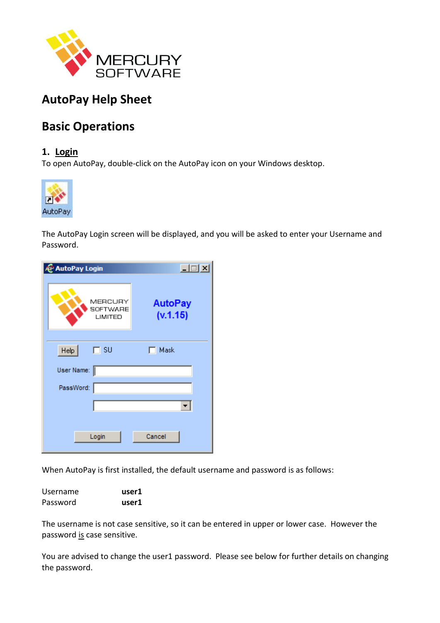

# **AutoPay Help Sheet**

# **Basic Operations**

## **1. Login**

To open AutoPay, double-click on the AutoPay icon on your Windows desktop.



The AutoPay Login screen will be displayed, and you will be asked to enter your Username and Password.

| P AutoPay Login                | $\Box$                     |
|--------------------------------|----------------------------|
| MERCURY<br>SOFTWARE<br>LIMITED | <b>AutoPay</b><br>(v.1.15) |
| Heip<br>$\Box$ su              | Mask<br>п                  |
| User Name:                     |                            |
| PassWord:                      |                            |
|                                | ▾╎                         |
| Login                          | Cancel                     |

When AutoPay is first installed, the default username and password is as follows:

| Username | user1 |  |
|----------|-------|--|
| Password | user1 |  |

The username is not case sensitive, so it can be entered in upper or lower case. However the password is case sensitive.

You are advised to change the user1 password. Please see below for further details on changing the password.